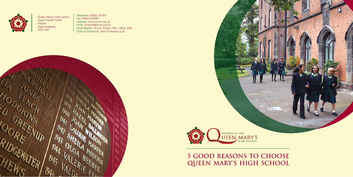

Queen Mary's High School Upper Forster Street **Walsall** West Midlands WS4 2AE

Telephone: 01922 721013 Fax: 01922 632387 Website: www.qmhs.org.uk Email: qmarys@qmhs.org.uk Head Teacher: Dr A.E. Bruton, BSc., MEd., EdD. Chair of Governors: Miss R.Hearsey LLB





**5 Good Reasons to Choose QUEEN MARY'S HIGH SCHOOL**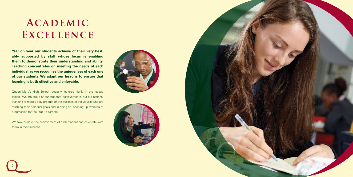**Year on year our students achieve of their very best, ably supported by staff whose focus is enabling them to demonstrate their understanding and ability. Teaching concentrates on meeting the needs of each individual as we recognise the uniqueness of each one of our students. We adapt our lessons to ensure that learning is both effective and enjoyable.**

We take pride in the achievement of each student and celebrate with them in their success.

Queen Mary's High School regularly features highly in the league tables. We are proud of our students' achievements, but our national standing is merely a by product of the success of individuals who are reaching their personal goals and in doing so, opening up avenues of progression for their future careers.

2







# **Academic Excellence**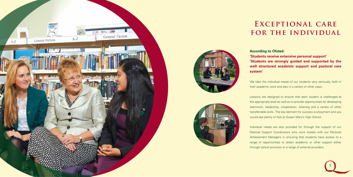

### **According to Ofsted:**

**'Students receive extensive personal support' 'Students are strongly guided and supported by the well structured academic support and pastoral care** 

We take the individual needs of our students very seriously, both in their academic work and also in a variety of other ways.

**system'** 

Lessons are designed to ensure that each student is challenged at the appropriate level as well as to provide opportunities for developing teamwork, leadership, cooperation, listening and a variety of other transferrable skills. The key element for success is enjoyment and you would see plenty of that at Queen Mary's High School.

Individual needs are also provided for through the support of our Pastoral Support Coordinators who work closely with our Personal Achievement Managers in ensuring that students have access to a range of opportunities to obtain academic or other support either through school provision or a range of external providers.



### **Exceptional care for the individual**



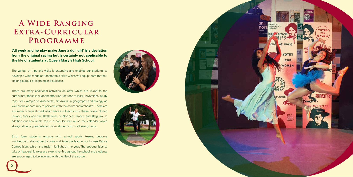6







**'All work and no play make Jane a dull girl' is a deviation from the original saying but is certainly not applicable to the life of students at Queen Mary's High School.** 

The variety of trips and visits is extensive and enables our students to develop a wide range of transferrable skills which will equip them for their lifelong pursuit of learning and success.

There are many additional activities on offer which are linked to the curriculum, these include theatre trips, lectures at local universities, study trips (for example to Auschwitz), fieldwork in geography and biology as well as the opportunity to perform with the choirs and orchestra. There are a number of trips abroad which have a subject focus; these have included Iceland, Sicily and the Battlefields of Northern France and Belgium. In addition our annual ski trip is a popular feature on the calendar which always attracts great interest from students from all year groups.

Sixth form students engage with school sports teams, become involved with drama productions and take the lead in our House Dance Competition, which is a major highlight of the year. The opportunities to take on leadership roles are extensive throughout the school and students are encouraged to be involved with the life of the school

### **A Wide Ranging Extra-Curricular Programme**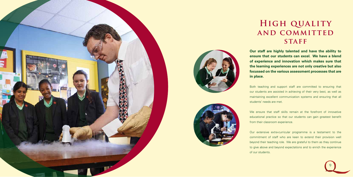

**Our staff are highly talented and have the ability to ensure that our students can excel. We have a blend of experience and innovation which makes sure that the learning experiences are not only creative but also focussed on the various assessment processes that are** 

**in place.**

We ensure that staff skills remain at the forefront of innovative educational practice so that our students can gain greatest benefit from their classroom experience.

Both teaching and support staff are committed to ensuring that our students are assisted in achieving of their very best, as well as maintaining excellent communication systems and ensuring that all students' needs are met.







### **High quality and committed STAFF**

Our extensive extra-curricular programme is a testament to the commitment of staff who are keen to extend their provision well beyond their teaching role. We are grateful to them as they continue to give above and beyond expectations and to enrich the experience of our students.